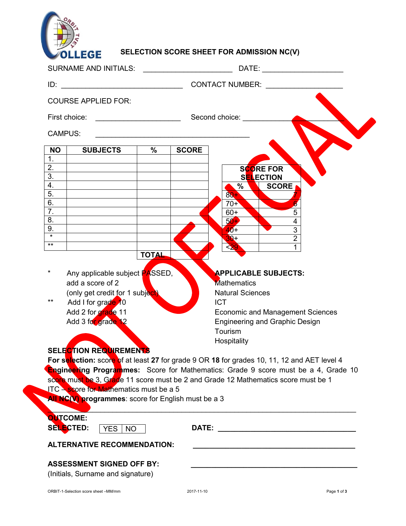

## **SELECTION SCORE SHEET FOR ADMISSION NC(V)**

|                                                                                                                                                                                                                                                                                           | DATE: ________________________<br>SURNAME AND INITIALS: <b>With the CONTROL</b>                                                                                                                   |  |  |  |  |  |
|-------------------------------------------------------------------------------------------------------------------------------------------------------------------------------------------------------------------------------------------------------------------------------------------|---------------------------------------------------------------------------------------------------------------------------------------------------------------------------------------------------|--|--|--|--|--|
| ID:                                                                                                                                                                                                                                                                                       | CONTACT NUMBER: ________________                                                                                                                                                                  |  |  |  |  |  |
| <b>COURSE APPLIED FOR:</b>                                                                                                                                                                                                                                                                |                                                                                                                                                                                                   |  |  |  |  |  |
|                                                                                                                                                                                                                                                                                           |                                                                                                                                                                                                   |  |  |  |  |  |
| <b>CAMPUS:</b>                                                                                                                                                                                                                                                                            | <u> 1989 - Paris Amerikaanse kommunister († 1908)</u>                                                                                                                                             |  |  |  |  |  |
| <b>SUBJECTS</b><br><b>NO</b>                                                                                                                                                                                                                                                              | $\frac{9}{6}$<br><b>SCORE</b>                                                                                                                                                                     |  |  |  |  |  |
| 1.<br>2.                                                                                                                                                                                                                                                                                  | <b>SCORE FOR</b>                                                                                                                                                                                  |  |  |  |  |  |
| $\overline{3}$ .                                                                                                                                                                                                                                                                          | <b>SELECTION</b>                                                                                                                                                                                  |  |  |  |  |  |
| 4.                                                                                                                                                                                                                                                                                        | $\%$<br><b>SCORE</b>                                                                                                                                                                              |  |  |  |  |  |
| 5.<br>6.                                                                                                                                                                                                                                                                                  | $80 +$<br>$70+$                                                                                                                                                                                   |  |  |  |  |  |
| $\overline{7}$ .                                                                                                                                                                                                                                                                          | 5<br>$60+$                                                                                                                                                                                        |  |  |  |  |  |
| 8.                                                                                                                                                                                                                                                                                        | $50 +$<br>4                                                                                                                                                                                       |  |  |  |  |  |
| 9.<br>$\overline{\ast}$                                                                                                                                                                                                                                                                   | $\overline{3}$<br>$40 +$                                                                                                                                                                          |  |  |  |  |  |
| $***$                                                                                                                                                                                                                                                                                     | $\overline{2}$<br>$30+$<br>< 29                                                                                                                                                                   |  |  |  |  |  |
| Any applicable subject <b>PASSED</b> ,<br>*<br>add a score of 2<br>(only get credit for 1 subject)<br>Add I for grade 10<br>Add 2 for grade 11<br>Add 3 for grade 12<br><b>SELECTION REQUIREMENTS</b>                                                                                     | <b>APPLICABLE SUBJECTS:</b><br>Mathematics<br><b>Natural Sciences</b><br><b>ICT</b><br><b>Economic and Management Sciences</b><br><b>Engineering and Graphic Design</b><br>Tourism<br>Hospitality |  |  |  |  |  |
|                                                                                                                                                                                                                                                                                           | For selection: score of at least 27 for grade 9 OR 18 for grades 10, 11, 12 and AET level 4                                                                                                       |  |  |  |  |  |
| <b>Engineering Programmes:</b> Score for Mathematics: Grade 9 score must be a 4, Grade 10<br>score must be 3, Grade 11 score must be 2 and Grade 12 Mathematics score must be 1<br>$\sqrt{TC}$ - score for Mathematics must be a 5<br>All NC(V) programmes: score for English must be a 3 |                                                                                                                                                                                                   |  |  |  |  |  |
| <b>QUTCOME:</b><br>SELECTED:<br>YES   NO                                                                                                                                                                                                                                                  |                                                                                                                                                                                                   |  |  |  |  |  |
| <b>ALTERNATIVE RECOMMENDATION:</b>                                                                                                                                                                                                                                                        |                                                                                                                                                                                                   |  |  |  |  |  |
| <b>ASSESSMENT SIGNED OFF BY:</b><br>(Initials, Surname and signature)                                                                                                                                                                                                                     |                                                                                                                                                                                                   |  |  |  |  |  |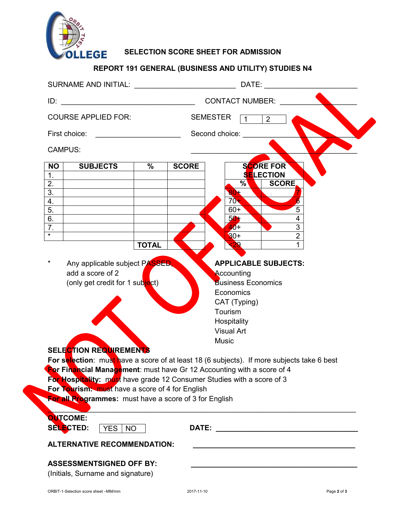

**SELECTION SCORE SHEET FOR ADMISSION**

## **REPORT 191 GENERAL (BUSINESS AND UTILITY) STUDIES N4**

|                                                                                                                                                                                                                                                                                                                                                                                                                                                                                                                                                                                                                                                                                | SURNAME AND INITIAL: University of the state of the state of the state of the state of the state of the state of the state of the state of the state of the state of the state of the state of the state of the state of the s<br>DATE: |                     |  |  |  |
|--------------------------------------------------------------------------------------------------------------------------------------------------------------------------------------------------------------------------------------------------------------------------------------------------------------------------------------------------------------------------------------------------------------------------------------------------------------------------------------------------------------------------------------------------------------------------------------------------------------------------------------------------------------------------------|-----------------------------------------------------------------------------------------------------------------------------------------------------------------------------------------------------------------------------------------|---------------------|--|--|--|
|                                                                                                                                                                                                                                                                                                                                                                                                                                                                                                                                                                                                                                                                                | <b>CONTACT NUMBER:</b>                                                                                                                                                                                                                  |                     |  |  |  |
| <b>COURSE APPLIED FOR:</b>                                                                                                                                                                                                                                                                                                                                                                                                                                                                                                                                                                                                                                                     | <b>SEMESTER</b><br>2<br>$\overline{1}$                                                                                                                                                                                                  |                     |  |  |  |
| First choice:                                                                                                                                                                                                                                                                                                                                                                                                                                                                                                                                                                                                                                                                  | Second choice:<br><u> 1990 - Johann Barbara, martxa alemani</u> ar                                                                                                                                                                      |                     |  |  |  |
| <b>CAMPUS:</b>                                                                                                                                                                                                                                                                                                                                                                                                                                                                                                                                                                                                                                                                 |                                                                                                                                                                                                                                         |                     |  |  |  |
| <b>SUBJECTS</b><br><b>NO</b><br>1.                                                                                                                                                                                                                                                                                                                                                                                                                                                                                                                                                                                                                                             | $\frac{0}{0}$<br><b>SCORE FOR</b><br><b>SCORE</b><br><b>SELECTION</b>                                                                                                                                                                   |                     |  |  |  |
| $\overline{2}$ .                                                                                                                                                                                                                                                                                                                                                                                                                                                                                                                                                                                                                                                               | $\%$<br><b>SCORE</b>                                                                                                                                                                                                                    |                     |  |  |  |
| $\overline{3}$ .                                                                                                                                                                                                                                                                                                                                                                                                                                                                                                                                                                                                                                                               | 80+<br>$70+$                                                                                                                                                                                                                            |                     |  |  |  |
| 4.<br>5.                                                                                                                                                                                                                                                                                                                                                                                                                                                                                                                                                                                                                                                                       | $60+$                                                                                                                                                                                                                                   | 5                   |  |  |  |
| 6.                                                                                                                                                                                                                                                                                                                                                                                                                                                                                                                                                                                                                                                                             | $50+$                                                                                                                                                                                                                                   | 4                   |  |  |  |
| 7.<br>$\star$                                                                                                                                                                                                                                                                                                                                                                                                                                                                                                                                                                                                                                                                  | $40+$<br>$30 +$                                                                                                                                                                                                                         | 3<br>$\overline{2}$ |  |  |  |
|                                                                                                                                                                                                                                                                                                                                                                                                                                                                                                                                                                                                                                                                                | 29<br><b>TOTAL</b>                                                                                                                                                                                                                      |                     |  |  |  |
| $^\star$<br>Any applicable subject PASSED,<br><b>APPLICABLE SUBJECTS:</b><br>add a score of 2<br>Accounting<br><b>Business Economics</b><br>(only get credit for 1 subject)<br>Economics<br>CAT (Typing)<br>Tourism<br>Hospitality<br><b>Visual Art</b><br><b>Music</b><br><b>SELECTION REQUIREMENTS</b><br>For selection: must have a score of at least 18 (6 subjects). If more subjects take 6 best<br><b>Por Financial Management:</b> must have Gr 12 Accounting with a score of 4<br>For Hospitality: must have grade 12 Consumer Studies with a score of 3<br>For Tourism: must have a score of 4 for English<br>For all Programmes: must have a score of 3 for English |                                                                                                                                                                                                                                         |                     |  |  |  |
| <b>QUTCOME:</b><br><b>SELECTED:</b><br>YES   NO                                                                                                                                                                                                                                                                                                                                                                                                                                                                                                                                                                                                                                |                                                                                                                                                                                                                                         |                     |  |  |  |
| <b>ALTERNATIVE RECOMMENDATION:</b>                                                                                                                                                                                                                                                                                                                                                                                                                                                                                                                                                                                                                                             |                                                                                                                                                                                                                                         |                     |  |  |  |
| <b>ASSESSMENTSIGNED OFF BY:</b><br>(Initials, Surname and signature)                                                                                                                                                                                                                                                                                                                                                                                                                                                                                                                                                                                                           |                                                                                                                                                                                                                                         |                     |  |  |  |